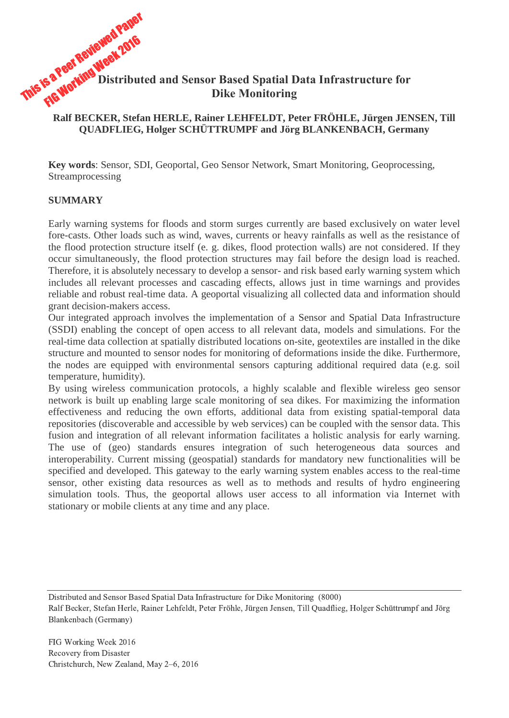

### **Ralf BECKER, Stefan HERLE, Rainer LEHFELDT, Peter FRÖHLE, Jürgen JENSEN, Till QUADFLIEG, Holger SCHÜTTRUMPF and Jörg BLANKENBACH, Germany**

**Key words**: Sensor, SDI, Geoportal, Geo Sensor Network, Smart Monitoring, Geoprocessing, Streamprocessing

#### **SUMMARY**

Early warning systems for floods and storm surges currently are based exclusively on water level fore-casts. Other loads such as wind, waves, currents or heavy rainfalls as well as the resistance of the flood protection structure itself (e. g. dikes, flood protection walls) are not considered. If they occur simultaneously, the flood protection structures may fail before the design load is reached. Therefore, it is absolutely necessary to develop a sensor- and risk based early warning system which includes all relevant processes and cascading effects, allows just in time warnings and provides reliable and robust real-time data. A geoportal visualizing all collected data and information should grant decision-makers access.

Our integrated approach involves the implementation of a Sensor and Spatial Data Infrastructure (SSDI) enabling the concept of open access to all relevant data, models and simulations. For the real-time data collection at spatially distributed locations on-site, geotextiles are installed in the dike structure and mounted to sensor nodes for monitoring of deformations inside the dike. Furthermore, the nodes are equipped with environmental sensors capturing additional required data (e.g. soil temperature, humidity).

By using wireless communication protocols, a highly scalable and flexible wireless geo sensor network is built up enabling large scale monitoring of sea dikes. For maximizing the information effectiveness and reducing the own efforts, additional data from existing spatial-temporal data repositories (discoverable and accessible by web services) can be coupled with the sensor data. This fusion and integration of all relevant information facilitates a holistic analysis for early warning. The use of (geo) standards ensures integration of such heterogeneous data sources and interoperability. Current missing (geospatial) standards for mandatory new functionalities will be specified and developed. This gateway to the early warning system enables access to the real-time sensor, other existing data resources as well as to methods and results of hydro engineering simulation tools. Thus, the geoportal allows user access to all information via Internet with stationary or mobile clients at any time and any place.

Distributed and Sensor Based Spatial Data Infrastructure for Dike Monitoring (8000)

Ralf Becker, Stefan Herle, Rainer Lehfeldt, Peter Fröhle, Jürgen Jensen, Till Quadflieg, Holger Schüttrumpf and Jörg Blankenbach (Germany)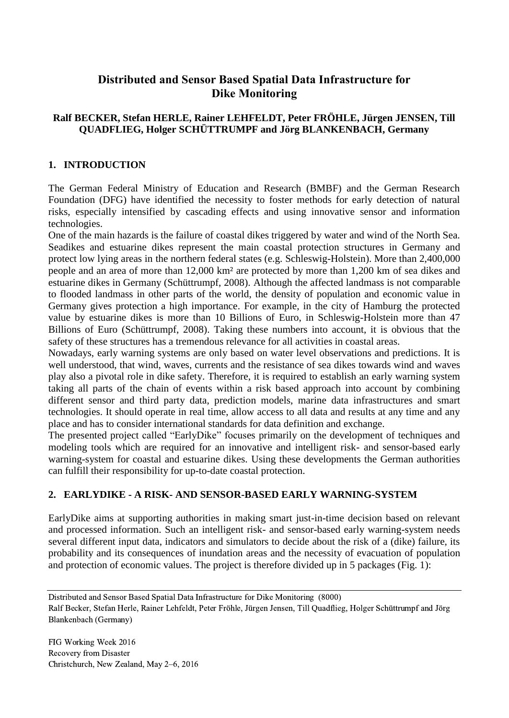# **Distributed and Sensor Based Spatial Data Infrastructure for Dike Monitoring**

### **Ralf BECKER, Stefan HERLE, Rainer LEHFELDT, Peter FRÖHLE, Jürgen JENSEN, Till QUADFLIEG, Holger SCHÜTTRUMPF and Jörg BLANKENBACH, Germany**

### **1. INTRODUCTION**

The German Federal Ministry of Education and Research (BMBF) and the German Research Foundation (DFG) have identified the necessity to foster methods for early detection of natural risks, especially intensified by cascading effects and using innovative sensor and information technologies.

One of the main hazards is the failure of coastal dikes triggered by water and wind of the North Sea. Seadikes and estuarine dikes represent the main coastal protection structures in Germany and protect low lying areas in the northern federal states (e.g. Schleswig-Holstein). More than 2,400,000 people and an area of more than 12,000 km² are protected by more than 1,200 km of sea dikes and estuarine dikes in Germany (Schüttrumpf, 2008). Although the affected landmass is not comparable to flooded landmass in other parts of the world, the density of population and economic value in Germany gives protection a high importance. For example, in the city of Hamburg the protected value by estuarine dikes is more than 10 Billions of Euro, in Schleswig-Holstein more than 47 Billions of Euro (Schüttrumpf, 2008). Taking these numbers into account, it is obvious that the safety of these structures has a tremendous relevance for all activities in coastal areas.

Nowadays, early warning systems are only based on water level observations and predictions. It is well understood, that wind, waves, currents and the resistance of sea dikes towards wind and waves play also a pivotal role in dike safety. Therefore, it is required to establish an early warning system taking all parts of the chain of events within a risk based approach into account by combining different sensor and third party data, prediction models, marine data infrastructures and smart technologies. It should operate in real time, allow access to all data and results at any time and any place and has to consider international standards for data definition and exchange.

The presented project called "EarlyDike" focuses primarily on the development of techniques and modeling tools which are required for an innovative and intelligent risk- and sensor-based early warning-system for coastal and estuarine dikes. Using these developments the German authorities can fulfill their responsibility for up-to-date coastal protection.

## **2. EARLYDIKE - A RISK- AND SENSOR-BASED EARLY WARNING-SYSTEM**

EarlyDike aims at supporting authorities in making smart just-in-time decision based on relevant and processed information. Such an intelligent risk- and sensor-based early warning-system needs several different input data, indicators and simulators to decide about the risk of a (dike) failure, its probability and its consequences of inundation areas and the necessity of evacuation of population and protection of economic values. The project is therefore divided up in 5 packages (Fig. 1):

Distributed and Sensor Based Spatial Data Infrastructure for Dike Monitoring (8000) Ralf Becker, Stefan Herle, Rainer Lehfeldt, Peter Fröhle, Jürgen Jensen, Till Quadflieg, Holger Schüttrumpf and Jörg Blankenbach (Germany)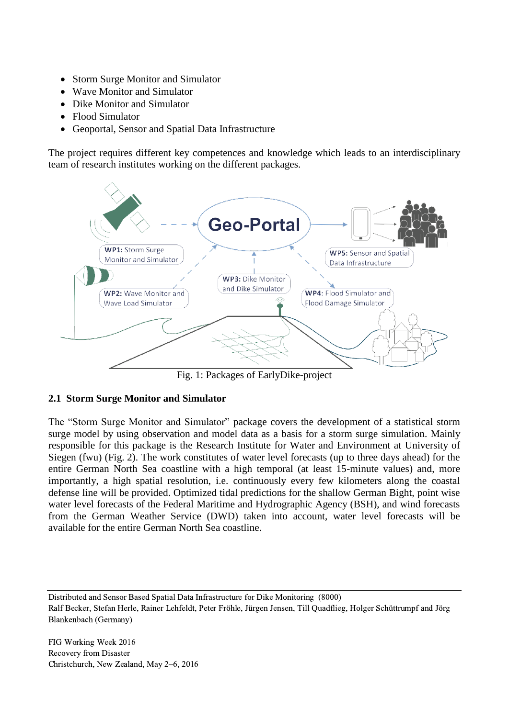- Storm Surge Monitor and Simulator
- Wave Monitor and Simulator
- Dike Monitor and Simulator
- Flood Simulator
- Geoportal, Sensor and Spatial Data Infrastructure

The project requires different key competences and knowledge which leads to an interdisciplinary team of research institutes working on the different packages.



Fig. 1: Packages of EarlyDike-project

### **2.1 Storm Surge Monitor and Simulator**

The "Storm Surge Monitor and Simulator" package covers the development of a statistical storm surge model by using observation and model data as a basis for a storm surge simulation. Mainly responsible for this package is the Research Institute for Water and Environment at University of Siegen (fwu) (Fig. 2). The work constitutes of water level forecasts (up to three days ahead) for the entire German North Sea coastline with a high temporal (at least 15-minute values) and, more importantly, a high spatial resolution, i.e. continuously every few kilometers along the coastal defense line will be provided. Optimized tidal predictions for the shallow German Bight, point wise water level forecasts of the Federal Maritime and Hydrographic Agency (BSH), and wind forecasts from the German Weather Service (DWD) taken into account, water level forecasts will be available for the entire German North Sea coastline.

Distributed and Sensor Based Spatial Data Infrastructure for Dike Monitoring (8000)

Ralf Becker, Stefan Herle, Rainer Lehfeldt, Peter Fröhle, Jürgen Jensen, Till Quadflieg, Holger Schüttrumpf and Jörg Blankenbach (Germany)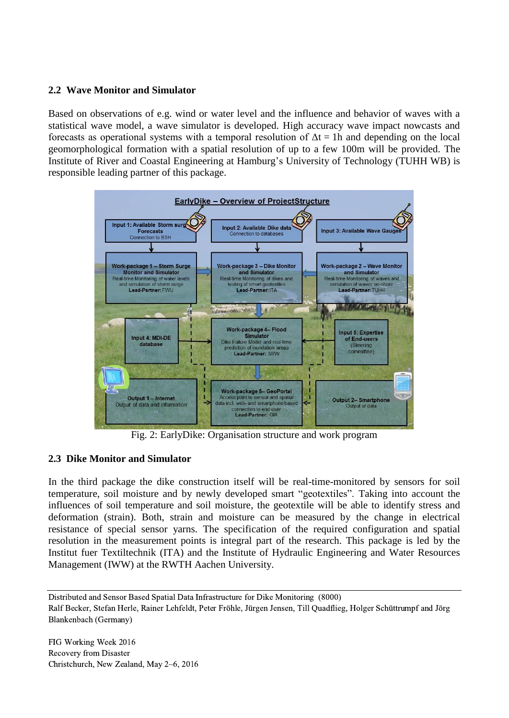### **2.2 Wave Monitor and Simulator**

Based on observations of e.g. wind or water level and the influence and behavior of waves with a statistical wave model, a wave simulator is developed. High accuracy wave impact nowcasts and forecasts as operational systems with a temporal resolution of  $\Delta t = 1h$  and depending on the local geomorphological formation with a spatial resolution of up to a few 100m will be provided. The Institute of River and Coastal Engineering at Hamburg's University of Technology (TUHH WB) is responsible leading partner of this package.



Fig. 2: EarlyDike: Organisation structure and work program

## **2.3 Dike Monitor and Simulator**

In the third package the dike construction itself will be real-time-monitored by sensors for soil temperature, soil moisture and by newly developed smart "geotextiles". Taking into account the influences of soil temperature and soil moisture, the geotextile will be able to identify stress and deformation (strain). Both, strain and moisture can be measured by the change in electrical resistance of special sensor yarns. The specification of the required configuration and spatial resolution in the measurement points is integral part of the research. This package is led by the Institut fuer Textiltechnik (ITA) and the Institute of Hydraulic Engineering and Water Resources Management (IWW) at the RWTH Aachen University.

Distributed and Sensor Based Spatial Data Infrastructure for Dike Monitoring (8000) Ralf Becker, Stefan Herle, Rainer Lehfeldt, Peter Fröhle, Jürgen Jensen, Till Quadflieg, Holger Schüttrumpf and Jörg Blankenbach (Germany)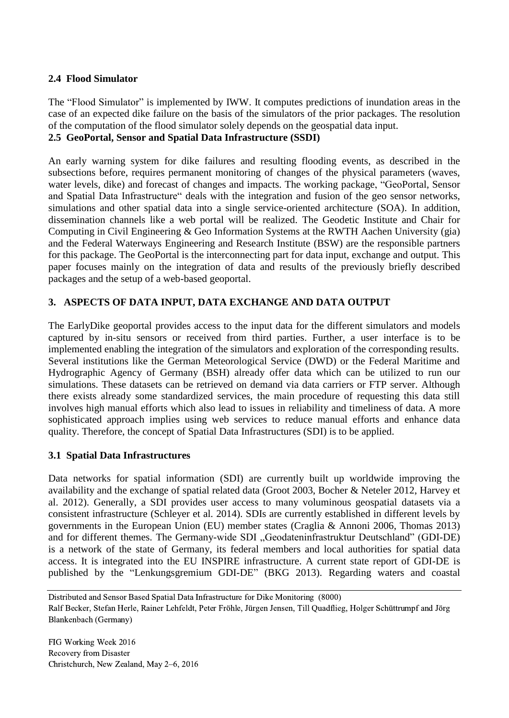### **2.4 Flood Simulator**

The "Flood Simulator" is implemented by IWW. It computes predictions of inundation areas in the case of an expected dike failure on the basis of the simulators of the prior packages. The resolution of the computation of the flood simulator solely depends on the geospatial data input. **2.5 GeoPortal, Sensor and Spatial Data Infrastructure (SSDI)**

An early warning system for dike failures and resulting flooding events, as described in the subsections before, requires permanent monitoring of changes of the physical parameters (waves, water levels, dike) and forecast of changes and impacts. The working package, "GeoPortal, Sensor and Spatial Data Infrastructure" deals with the integration and fusion of the geo sensor networks, simulations and other spatial data into a single service-oriented architecture (SOA). In addition, dissemination channels like a web portal will be realized. The Geodetic Institute and Chair for Computing in Civil Engineering & Geo Information Systems at the RWTH Aachen University (gia) and the Federal Waterways Engineering and Research Institute (BSW) are the responsible partners for this package. The GeoPortal is the interconnecting part for data input, exchange and output. This paper focuses mainly on the integration of data and results of the previously briefly described packages and the setup of a web-based geoportal.

## **3. ASPECTS OF DATA INPUT, DATA EXCHANGE AND DATA OUTPUT**

The EarlyDike geoportal provides access to the input data for the different simulators and models captured by in-situ sensors or received from third parties. Further, a user interface is to be implemented enabling the integration of the simulators and exploration of the corresponding results. Several institutions like the German Meteorological Service (DWD) or the Federal Maritime and Hydrographic Agency of Germany (BSH) already offer data which can be utilized to run our simulations. These datasets can be retrieved on demand via data carriers or FTP server. Although there exists already some standardized services, the main procedure of requesting this data still involves high manual efforts which also lead to issues in reliability and timeliness of data. A more sophisticated approach implies using web services to reduce manual efforts and enhance data quality. Therefore, the concept of Spatial Data Infrastructures (SDI) is to be applied.

### **3.1 Spatial Data Infrastructures**

Data networks for spatial information (SDI) are currently built up worldwide improving the availability and the exchange of spatial related data (Groot 2003, Bocher & Neteler 2012, Harvey et al. 2012). Generally, a SDI provides user access to many voluminous geospatial datasets via a consistent infrastructure (Schleyer et al. 2014). SDIs are currently established in different levels by governments in the European Union (EU) member states (Craglia & Annoni 2006, Thomas 2013) and for different themes. The Germany-wide SDI "Geodateninfrastruktur Deutschland" (GDI-DE) is a network of the state of Germany, its federal members and local authorities for spatial data access. It is integrated into the EU INSPIRE infrastructure. A current state report of GDI-DE is published by the "Lenkungsgremium GDI-DE" (BKG 2013). Regarding waters and coastal

Distributed and Sensor Based Spatial Data Infrastructure for Dike Monitoring (8000) Ralf Becker, Stefan Herle, Rainer Lehfeldt, Peter Fröhle, Jürgen Jensen, Till Quadflieg, Holger Schüttrumpf and Jörg Blankenbach (Germany)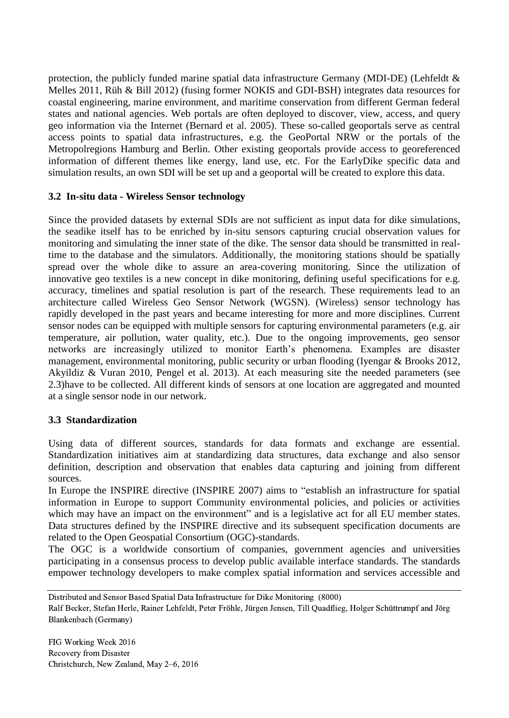protection, the publicly funded marine spatial data infrastructure Germany (MDI-DE) (Lehfeldt  $\&$ Melles 2011, Rüh & Bill 2012) (fusing former NOKIS and GDI-BSH) integrates data resources for coastal engineering, marine environment, and maritime conservation from different German federal states and national agencies. Web portals are often deployed to discover, view, access, and query geo information via the Internet (Bernard et al. 2005). These so-called geoportals serve as central access points to spatial data infrastructures, e.g. the GeoPortal NRW or the portals of the Metropolregions Hamburg and Berlin. Other existing geoportals provide access to georeferenced information of different themes like energy, land use, etc. For the EarlyDike specific data and simulation results, an own SDI will be set up and a geoportal will be created to explore this data.

### **3.2 In-situ data - Wireless Sensor technology**

Since the provided datasets by external SDIs are not sufficient as input data for dike simulations, the seadike itself has to be enriched by in-situ sensors capturing crucial observation values for monitoring and simulating the inner state of the dike. The sensor data should be transmitted in realtime to the database and the simulators. Additionally, the monitoring stations should be spatially spread over the whole dike to assure an area-covering monitoring. Since the utilization of innovative geo textiles is a new concept in dike monitoring, defining useful specifications for e.g. accuracy, timelines and spatial resolution is part of the research. These requirements lead to an architecture called Wireless Geo Sensor Network (WGSN). (Wireless) sensor technology has rapidly developed in the past years and became interesting for more and more disciplines. Current sensor nodes can be equipped with multiple sensors for capturing environmental parameters (e.g. air temperature, air pollution, water quality, etc.). Due to the ongoing improvements, geo sensor networks are increasingly utilized to monitor Earth's phenomena. Examples are disaster management, environmental monitoring, public security or urban flooding (Iyengar & Brooks 2012, Akyildiz & Vuran 2010, Pengel et al. 2013). At each measuring site the needed parameters (see 2.3)have to be collected. All different kinds of sensors at one location are aggregated and mounted at a single sensor node in our network.

## **3.3 Standardization**

Using data of different sources, standards for data formats and exchange are essential. Standardization initiatives aim at standardizing data structures, data exchange and also sensor definition, description and observation that enables data capturing and joining from different sources.

In Europe the INSPIRE directive (INSPIRE 2007) aims to "establish an infrastructure for spatial information in Europe to support Community environmental policies, and policies or activities which may have an impact on the environment" and is a legislative act for all EU member states. Data structures defined by the INSPIRE directive and its subsequent specification documents are related to the Open Geospatial Consortium (OGC)-standards.

The OGC is a worldwide consortium of companies, government agencies and universities participating in a consensus process to develop public available interface standards. The standards empower technology developers to make complex spatial information and services accessible and

Distributed and Sensor Based Spatial Data Infrastructure for Dike Monitoring (8000)

Ralf Becker, Stefan Herle, Rainer Lehfeldt, Peter Fröhle, Jürgen Jensen, Till Quadflieg, Holger Schüttrumpf and Jörg Blankenbach (Germany)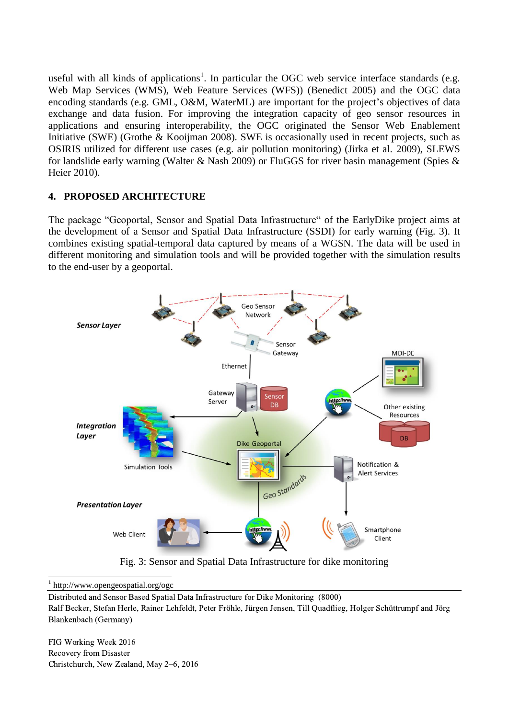useful with all kinds of applications<sup>1</sup>. In particular the OGC web service interface standards (e.g. Web Map Services (WMS), Web Feature Services (WFS)) (Benedict 2005) and the OGC data encoding standards (e.g. GML, O&M, WaterML) are important for the project's objectives of data exchange and data fusion. For improving the integration capacity of geo sensor resources in applications and ensuring interoperability, the OGC originated the Sensor Web Enablement Initiative (SWE) (Grothe & Kooijman 2008). SWE is occasionally used in recent projects, such as OSIRIS utilized for different use cases (e.g. air pollution monitoring) (Jirka et al. 2009), SLEWS for landslide early warning (Walter & Nash 2009) or FluGGS for river basin management (Spies & Heier 2010).

### **4. PROPOSED ARCHITECTURE**

The package "Geoportal, Sensor and Spatial Data Infrastructure" of the EarlyDike project aims at the development of a Sensor and Spatial Data Infrastructure (SSDI) for early warning (Fig. 3). It combines existing spatial-temporal data captured by means of a WGSN. The data will be used in different monitoring and simulation tools and will be provided together with the simulation results to the end-user by a geoportal.



Fig. 3: Sensor and Spatial Data Infrastructure for dike monitoring

1 1 http://www.opengeospatial.org/ogc

Distributed and Sensor Based Spatial Data Infrastructure for Dike Monitoring (8000) Ralf Becker, Stefan Herle, Rainer Lehfeldt, Peter Fröhle, Jürgen Jensen, Till Quadflieg, Holger Schüttrumpf and Jörg Blankenbach (Germany)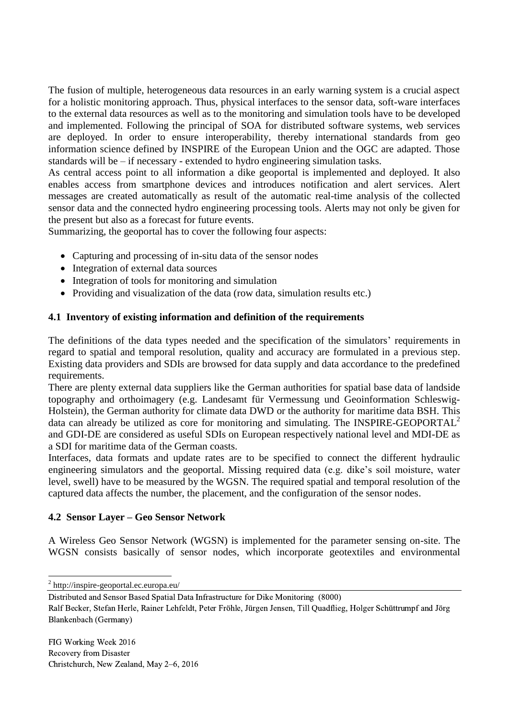The fusion of multiple, heterogeneous data resources in an early warning system is a crucial aspect for a holistic monitoring approach. Thus, physical interfaces to the sensor data, soft-ware interfaces to the external data resources as well as to the monitoring and simulation tools have to be developed and implemented. Following the principal of SOA for distributed software systems, web services are deployed. In order to ensure interoperability, thereby international standards from geo information science defined by INSPIRE of the European Union and the OGC are adapted. Those standards will be – if necessary - extended to hydro engineering simulation tasks.

As central access point to all information a dike geoportal is implemented and deployed. It also enables access from smartphone devices and introduces notification and alert services. Alert messages are created automatically as result of the automatic real-time analysis of the collected sensor data and the connected hydro engineering processing tools. Alerts may not only be given for the present but also as a forecast for future events.

Summarizing, the geoportal has to cover the following four aspects:

- Capturing and processing of in-situ data of the sensor nodes
- Integration of external data sources
- Integration of tools for monitoring and simulation
- Providing and visualization of the data (row data, simulation results etc.)

### **4.1 Inventory of existing information and definition of the requirements**

The definitions of the data types needed and the specification of the simulators' requirements in regard to spatial and temporal resolution, quality and accuracy are formulated in a previous step. Existing data providers and SDIs are browsed for data supply and data accordance to the predefined requirements.

There are plenty external data suppliers like the German authorities for spatial base data of landside topography and orthoimagery (e.g. Landesamt für Vermessung und Geoinformation Schleswig-Holstein), the German authority for climate data DWD or the authority for maritime data BSH. This data can already be utilized as core for monitoring and simulating. The INSPIRE-GEOPORTAL<sup>2</sup> and GDI-DE are considered as useful SDIs on European respectively national level and MDI-DE as a SDI for maritime data of the German coasts.

Interfaces, data formats and update rates are to be specified to connect the different hydraulic engineering simulators and the geoportal. Missing required data (e.g. dike's soil moisture, water level, swell) have to be measured by the WGSN. The required spatial and temporal resolution of the captured data affects the number, the placement, and the configuration of the sensor nodes.

### **4.2 Sensor Layer – Geo Sensor Network**

A Wireless Geo Sensor Network (WGSN) is implemented for the parameter sensing on-site. The WGSN consists basically of sensor nodes, which incorporate geotextiles and environmental

Ralf Becker, Stefan Herle, Rainer Lehfeldt, Peter Fröhle, Jürgen Jensen, Till Quadflieg, Holger Schüttrumpf and Jörg Blankenbach (Germany)

 2 http://inspire-geoportal.ec.europa.eu/

Distributed and Sensor Based Spatial Data Infrastructure for Dike Monitoring (8000)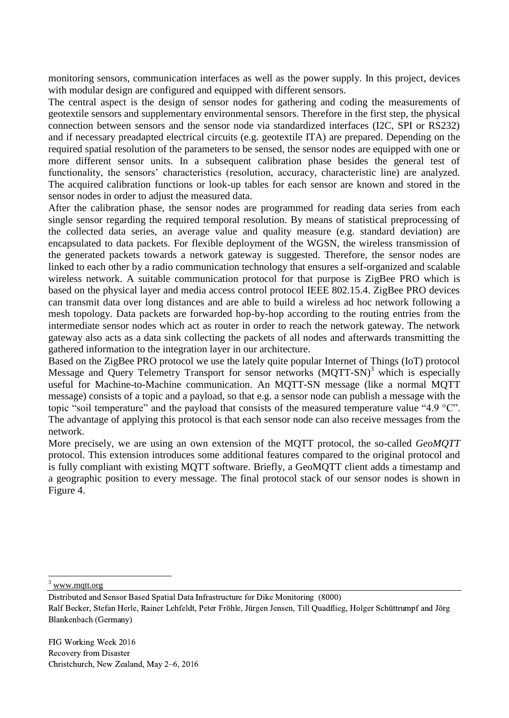monitoring sensors, communication interfaces as well as the power supply. In this project, devices with modular design are configured and equipped with different sensors.

The central aspect is the design of sensor nodes for gathering and coding the measurements of geotextile sensors and supplementary environmental sensors. Therefore in the first step, the physical connection between sensors and the sensor node via standardized interfaces (I2C, SPI or RS232) and if necessary preadapted electrical circuits (e.g. geotextile ITA) are prepared. Depending on the required spatial resolution of the parameters to be sensed, the sensor nodes are equipped with one or more different sensor units. In a subsequent calibration phase besides the general test of functionality, the sensors' characteristics (resolution, accuracy, characteristic line) are analyzed. The acquired calibration functions or look-up tables for each sensor are known and stored in the sensor nodes in order to adjust the measured data.

After the calibration phase, the sensor nodes are programmed for reading data series from each single sensor regarding the required temporal resolution. By means of statistical preprocessing of the collected data series, an average value and quality measure (e.g. standard deviation) are encapsulated to data packets. For flexible deployment of the WGSN, the wireless transmission of the generated packets towards a network gateway is suggested. Therefore, the sensor nodes are linked to each other by a radio communication technology that ensures a self-organized and scalable wireless network. A suitable communication protocol for that purpose is ZigBee PRO which is based on the physical layer and media access control protocol IEEE 802.15.4. ZigBee PRO devices can transmit data over long distances and are able to build a wireless ad hoc network following a mesh topology. Data packets are forwarded hop-by-hop according to the routing entries from the intermediate sensor nodes which act as router in order to reach the network gateway. The network gateway also acts as a data sink collecting the packets of all nodes and afterwards transmitting the gathered information to the integration layer in our architecture.

Based on the ZigBee PRO protocol we use the lately quite popular Internet of Things (IoT) protocol Message and Query Telemetry Transport for sensor networks (MQTT-SN)<sup>3</sup> which is especially useful for Machine-to-Machine communication. An MQTT-SN message (like a normal MQTT message) consists of a topic and a payload, so that e.g. a sensor node can publish a message with the topic "soil temperature" and the payload that consists of the measured temperature value "4.9 °C". The advantage of applying this protocol is that each sensor node can also receive messages from the network.

More precisely, we are using an own extension of the MQTT protocol, the so-called *GeoMQTT* protocol. This extension introduces some additional features compared to the original protocol and is fully compliant with existing MQTT software. Briefly, a GeoMQTT client adds a timestamp and a geographic position to every message. The final protocol stack of our sensor nodes is shown in Figure 4.

<sup>3</sup> [www.mqtt.org](http://www.mqtt.org/)

1

Distributed and Sensor Based Spatial Data Infrastructure for Dike Monitoring (8000)

Ralf Becker, Stefan Herle, Rainer Lehfeldt, Peter Fröhle, Jürgen Jensen, Till Quadflieg, Holger Schüttrumpf and Jörg Blankenbach (Germany)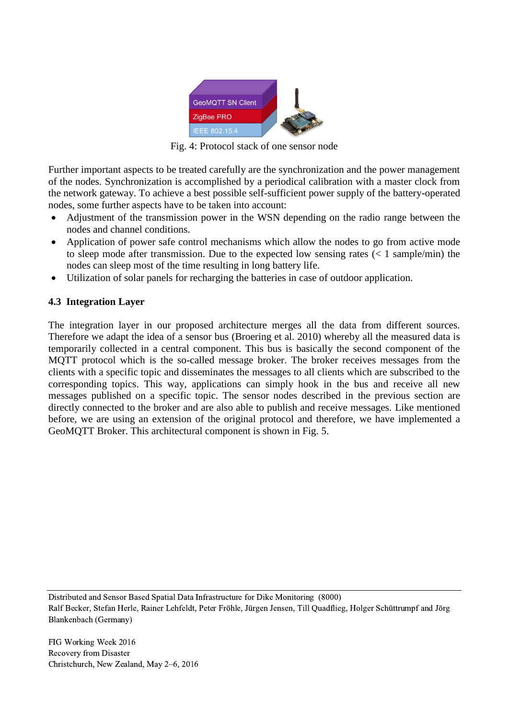

Fig. 4: Protocol stack of one sensor node

Further important aspects to be treated carefully are the synchronization and the power management of the nodes. Synchronization is accomplished by a periodical calibration with a master clock from the network gateway. To achieve a best possible self-sufficient power supply of the battery-operated nodes, some further aspects have to be taken into account:

- Adjustment of the transmission power in the WSN depending on the radio range between the nodes and channel conditions.
- Application of power safe control mechanisms which allow the nodes to go from active mode to sleep mode after transmission. Due to the expected low sensing rates  $(< 1 \text{ sample/min})$  the nodes can sleep most of the time resulting in long battery life.
- Utilization of solar panels for recharging the batteries in case of outdoor application.

## **4.3 Integration Layer**

The integration layer in our proposed architecture merges all the data from different sources. Therefore we adapt the idea of a sensor bus (Broering et al. 2010) whereby all the measured data is temporarily collected in a central component. This bus is basically the second component of the MQTT protocol which is the so-called message broker. The broker receives messages from the clients with a specific topic and disseminates the messages to all clients which are subscribed to the corresponding topics. This way, applications can simply hook in the bus and receive all new messages published on a specific topic. The sensor nodes described in the previous section are directly connected to the broker and are also able to publish and receive messages. Like mentioned before, we are using an extension of the original protocol and therefore, we have implemented a GeoMQTT Broker. This architectural component is shown in Fig. 5.

Distributed and Sensor Based Spatial Data Infrastructure for Dike Monitoring (8000) Ralf Becker, Stefan Herle, Rainer Lehfeldt, Peter Fröhle, Jürgen Jensen, Till Quadflieg, Holger Schüttrumpf and Jörg Blankenbach (Germany)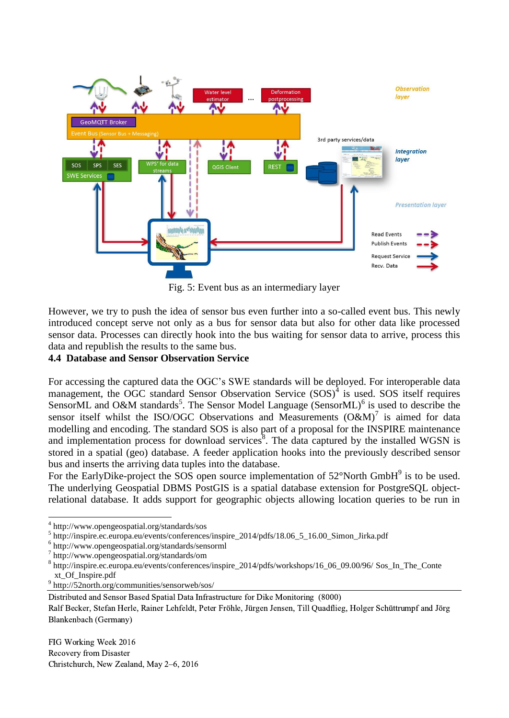

Fig. 5: Event bus as an intermediary layer

However, we try to push the idea of sensor bus even further into a so-called event bus. This newly introduced concept serve not only as a bus for sensor data but also for other data like processed sensor data. Processes can directly hook into the bus waiting for sensor data to arrive, process this data and republish the results to the same bus.

### **4.4 Database and Sensor Observation Service**

For accessing the captured data the OGC's SWE standards will be deployed. For interoperable data management, the OGC standard Sensor Observation Service  $(SOS)^4$  is used. SOS itself requires SensorML and O&M standards<sup>5</sup>. The Sensor Model Language (SensorML)<sup>6</sup> is used to describe the sensor itself whilst the ISO/OGC Observations and Measurements  $(O&M)^7$  is aimed for data modelling and encoding. The standard SOS is also part of a proposal for the INSPIRE maintenance and implementation process for download services<sup>8</sup>. The data captured by the installed WGSN is stored in a spatial (geo) database. A feeder application hooks into the previously described sensor bus and inserts the arriving data tuples into the database.

For the EarlyDike-project the SOS open source implementation of  $52^{\circ}$ North GmbH $^{9}$  is to be used. The underlying Geospatial DBMS PostGIS is a spatial database extension for PostgreSQL objectrelational database. It adds support for geographic objects allowing location queries to be run in

1

9 http://52north.org/communities/sensorweb/sos/

<sup>4</sup> http://www.opengeospatial.org/standards/sos

<sup>5</sup> http://inspire.ec.europa.eu/events/conferences/inspire\_2014/pdfs/18.06\_5\_16.00\_Simon\_Jirka.pdf

<sup>6</sup> http://www.opengeospatial.org/standards/sensorml

<sup>7</sup> http://www.opengeospatial.org/standards/om

<sup>8</sup> [http://inspire.ec.europa.eu/events/conferences/inspire\\_2014/pdfs/workshops/16\\_06\\_09.00/96/](http://inspire.ec.europa.eu/events/conferences/inspire_2014/pdfs/workshops/16_06_09.00/96/) Sos\_In\_The\_Conte xt\_Of\_Inspire.pdf

Distributed and Sensor Based Spatial Data Infrastructure for Dike Monitoring (8000)

Ralf Becker, Stefan Herle, Rainer Lehfeldt, Peter Fröhle, Jürgen Jensen, Till Quadflieg, Holger Schüttrumpf and Jörg Blankenbach (Germany)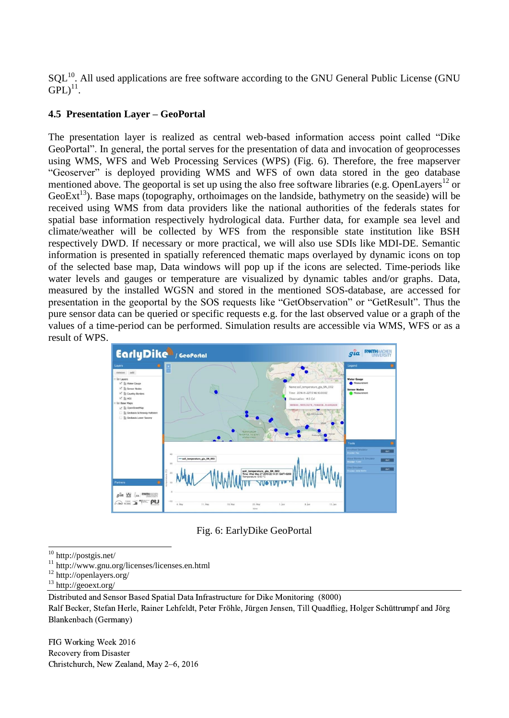$SQL^{10}$ . All used applications are free software according to the GNU General Public License (GNU  $GPL)^{11}$ .

### **4.5 Presentation Layer – GeoPortal**

The presentation layer is realized as central web-based information access point called "Dike GeoPortal". In general, the portal serves for the presentation of data and invocation of geoprocesses using WMS, WFS and Web Processing Services (WPS) (Fig. 6). Therefore, the free mapserver "Geoserver" is deployed providing WMS and WFS of own data stored in the geo database mentioned above. The geoportal is set up using the also free software libraries (e.g. OpenLayers<sup>12</sup> or GeoExt<sup>13</sup>). Base maps (topography, orthoimages on the landside, bathymetry on the seaside) will be received using WMS from data providers like the national authorities of the federals states for spatial base information respectively hydrological data. Further data, for example sea level and climate/weather will be collected by WFS from the responsible state institution like BSH respectively DWD. If necessary or more practical, we will also use SDIs like MDI-DE. Semantic information is presented in spatially referenced thematic maps overlayed by dynamic icons on top of the selected base map, Data windows will pop up if the icons are selected. Time-periods like water levels and gauges or temperature are visualized by dynamic tables and/or graphs. Data, measured by the installed WGSN and stored in the mentioned SOS-database, are accessed for presentation in the geoportal by the SOS requests like "GetObservation" or "GetResult". Thus the pure sensor data can be queried or specific requests e.g. for the last observed value or a graph of the values of a time-period can be performed. Simulation results are accessible via WMS, WFS or as a result of WPS.



Fig. 6: EarlyDike GeoPortal

- <sup>12</sup> http://openlayers.org/
- <sup>13</sup> http://geoext.org/

Distributed and Sensor Based Spatial Data Infrastructure for Dike Monitoring (8000) Ralf Becker, Stefan Herle, Rainer Lehfeldt, Peter Fröhle, Jürgen Jensen, Till Quadflieg, Holger Schüttrumpf and Jörg Blankenbach (Germany)

<sup>1</sup> <sup>10</sup> http://postgis.net/

<sup>11</sup> http://www.gnu.org/licenses/licenses.en.html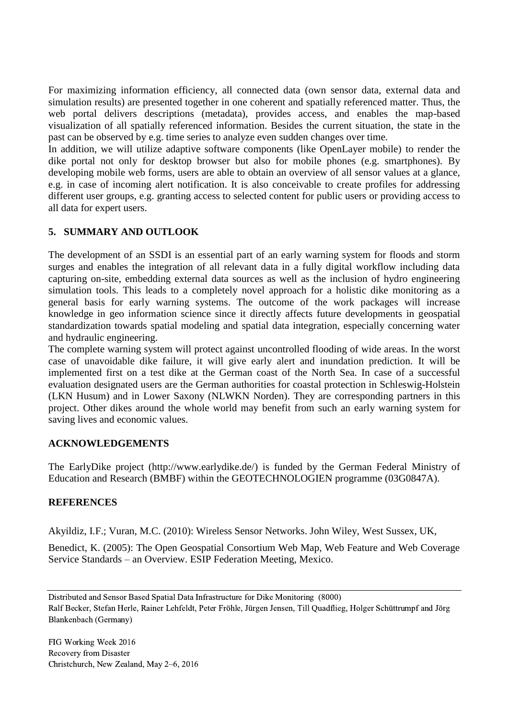For maximizing information efficiency, all connected data (own sensor data, external data and simulation results) are presented together in one coherent and spatially referenced matter. Thus, the web portal delivers descriptions (metadata), provides access, and enables the map-based visualization of all spatially referenced information. Besides the current situation, the state in the past can be observed by e.g. time series to analyze even sudden changes over time.

In addition, we will utilize adaptive software components (like OpenLayer mobile) to render the dike portal not only for desktop browser but also for mobile phones (e.g. smartphones). By developing mobile web forms, users are able to obtain an overview of all sensor values at a glance, e.g. in case of incoming alert notification. It is also conceivable to create profiles for addressing different user groups, e.g. granting access to selected content for public users or providing access to all data for expert users.

# **5. SUMMARY AND OUTLOOK**

The development of an SSDI is an essential part of an early warning system for floods and storm surges and enables the integration of all relevant data in a fully digital workflow including data capturing on-site, embedding external data sources as well as the inclusion of hydro engineering simulation tools. This leads to a completely novel approach for a holistic dike monitoring as a general basis for early warning systems. The outcome of the work packages will increase knowledge in geo information science since it directly affects future developments in geospatial standardization towards spatial modeling and spatial data integration, especially concerning water and hydraulic engineering.

The complete warning system will protect against uncontrolled flooding of wide areas. In the worst case of unavoidable dike failure, it will give early alert and inundation prediction. It will be implemented first on a test dike at the German coast of the North Sea. In case of a successful evaluation designated users are the German authorities for coastal protection in Schleswig-Holstein (LKN Husum) and in Lower Saxony (NLWKN Norden). They are corresponding partners in this project. Other dikes around the whole world may benefit from such an early warning system for saving lives and economic values.

### **ACKNOWLEDGEMENTS**

The EarlyDike project (http://www.earlydike.de/) is funded by the German Federal Ministry of Education and Research (BMBF) within the GEOTECHNOLOGIEN programme (03G0847A).

## **REFERENCES**

Akyildiz, I.F.; Vuran, M.C. (2010): Wireless Sensor Networks. John Wiley, West Sussex, UK,

Benedict, K. (2005): The Open Geospatial Consortium Web Map, Web Feature and Web Coverage Service Standards – an Overview. ESIP Federation Meeting, Mexico.

Distributed and Sensor Based Spatial Data Infrastructure for Dike Monitoring (8000) Ralf Becker, Stefan Herle, Rainer Lehfeldt, Peter Fröhle, Jürgen Jensen, Till Quadflieg, Holger Schüttrumpf and Jörg Blankenbach (Germany)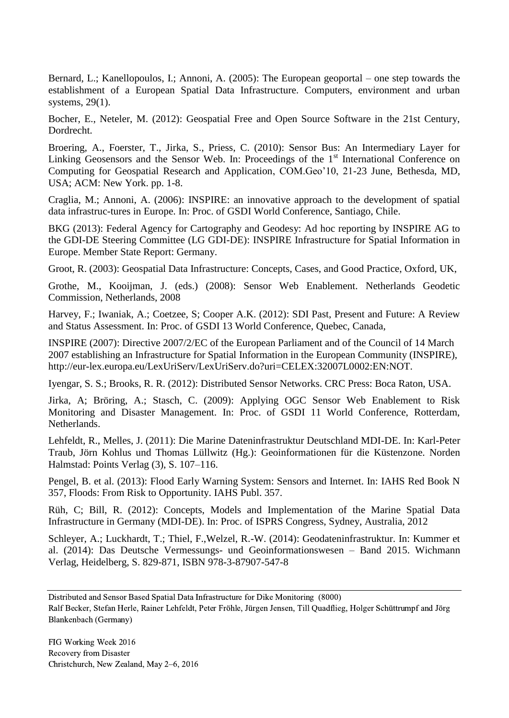Bernard, L.; Kanellopoulos, I.; Annoni, A. (2005): The European geoportal – one step towards the establishment of a European Spatial Data Infrastructure. Computers, environment and urban systems, 29(1).

Bocher, E., Neteler, M. (2012): Geospatial Free and Open Source Software in the 21st Century, Dordrecht.

Broering, A., Foerster, T., Jirka, S., Priess, C. (2010): Sensor Bus: An Intermediary Layer for Linking Geosensors and the Sensor Web. In: Proceedings of the  $1<sup>st</sup>$  International Conference on Computing for Geospatial Research and Application, COM.Geo'10, 21-23 June, Bethesda, MD, USA; ACM: New York. pp. 1-8.

Craglia, M.; Annoni, A. (2006): INSPIRE: an innovative approach to the development of spatial data infrastruc-tures in Europe. In: Proc. of GSDI World Conference, Santiago, Chile.

BKG (2013): Federal Agency for Cartography and Geodesy: Ad hoc reporting by INSPIRE AG to the GDI-DE Steering Committee (LG GDI-DE): INSPIRE Infrastructure for Spatial Information in Europe. Member State Report: Germany.

Groot, R. (2003): Geospatial Data Infrastructure: Concepts, Cases, and Good Practice, Oxford, UK,

Grothe, M., Kooijman, J. (eds.) (2008): Sensor Web Enablement. Netherlands Geodetic Commission, Netherlands, 2008

Harvey, F.; Iwaniak, A.; Coetzee, S; Cooper A.K. (2012): SDI Past, Present and Future: A Review and Status Assessment. In: Proc. of GSDI 13 World Conference, Quebec, Canada,

INSPIRE (2007): Directive 2007/2/EC of the European Parliament and of the Council of 14 March 2007 establishing an Infrastructure for Spatial Information in the European Community (INSPIRE), http://eur-lex.europa.eu/LexUriServ/LexUriServ.do?uri=CELEX:32007L0002:EN:NOT.

Iyengar, S. S.; Brooks, R. R. (2012): Distributed Sensor Networks. CRC Press: Boca Raton, USA.

Jirka, A; Bröring, A.; Stasch, C. (2009): Applying OGC Sensor Web Enablement to Risk Monitoring and Disaster Management. In: Proc. of GSDI 11 World Conference, Rotterdam, Netherlands.

Lehfeldt, R., Melles, J. (2011): Die Marine Dateninfrastruktur Deutschland MDI-DE. In: Karl-Peter Traub, Jörn Kohlus und Thomas Lüllwitz (Hg.): Geoinformationen für die Küstenzone. Norden Halmstad: Points Verlag (3), S. 107–116.

Pengel, B. et al. (2013): Flood Early Warning System: Sensors and Internet. In: IAHS Red Book N 357, Floods: From Risk to Opportunity. IAHS Publ. 357.

Rüh, C; Bill, R. (2012): Concepts, Models and Implementation of the Marine Spatial Data Infrastructure in Germany (MDI-DE). In: Proc. of ISPRS Congress, Sydney, Australia, 2012

Schleyer, A.; Luckhardt, T.; Thiel, F.,Welzel, R.-W. (2014): Geodateninfrastruktur. In: Kummer et al. (2014): Das Deutsche Vermessungs- und Geoinformationswesen – Band 2015. Wichmann Verlag, Heidelberg, S. 829-871, ISBN 978-3-87907-547-8

Distributed and Sensor Based Spatial Data Infrastructure for Dike Monitoring (8000)

Ralf Becker, Stefan Herle, Rainer Lehfeldt, Peter Fröhle, Jürgen Jensen, Till Quadflieg, Holger Schüttrumpf and Jörg Blankenbach (Germany)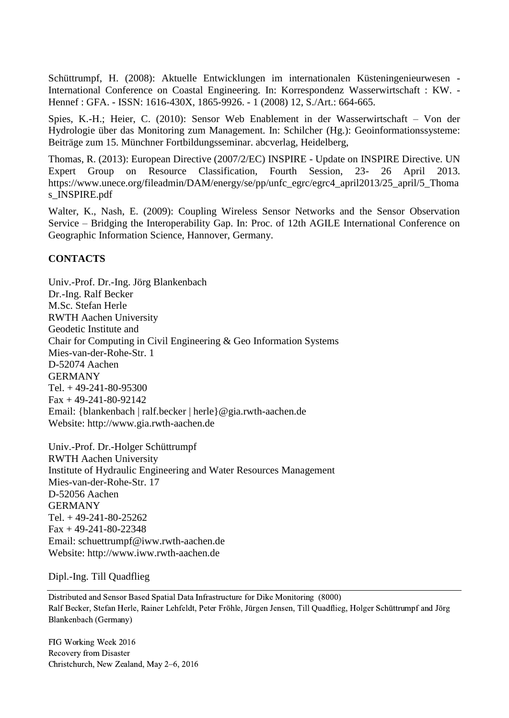Schüttrumpf, H. (2008): Aktuelle Entwicklungen im internationalen Küsteningenieurwesen - International Conference on Coastal Engineering. In: Korrespondenz Wasserwirtschaft : KW. - Hennef : GFA. - ISSN: 1616-430X, 1865-9926. - 1 (2008) 12, S./Art.: 664-665.

Spies, K.-H.; Heier, C. (2010): Sensor Web Enablement in der Wasserwirtschaft – Von der Hydrologie über das Monitoring zum Management. In: Schilcher (Hg.): Geoinformationssysteme: Beiträge zum 15. Münchner Fortbildungsseminar. abcverlag, Heidelberg,

Thomas, R. (2013): European Directive (2007/2/EC) INSPIRE - Update on INSPIRE Directive. UN Expert Group on Resource Classification, Fourth Session, 23- 26 April 2013. [https://www.unece.org/fileadmin/DAM/e](https://www.unece.org/fileadmin/DAM/)nergy/se/pp/unfc\_egrc/egrc4\_april2013/25\_april/5\_Thoma s\_INSPIRE.pdf

Walter, K., Nash, E. (2009): Coupling Wireless Sensor Networks and the Sensor Observation Service – Bridging the Interoperability Gap. In: Proc. of 12th AGILE International Conference on Geographic Information Science, Hannover, Germany.

### **CONTACTS**

Univ.-Prof. Dr.-Ing. Jörg Blankenbach Dr.-Ing. Ralf Becker M.Sc. Stefan Herle RWTH Aachen University Geodetic Institute and Chair for Computing in Civil Engineering & Geo Information Systems Mies-van-der-Rohe-Str. 1 D-52074 Aachen GERMANY Tel. + 49-241-80-95300  $Fax + 49-241-80-92142$ Email: {blankenbach | ralf.becker | herle}@gia.rwth-aachen.de Website: http://www.gia.rwth-aachen.de

Univ.-Prof. Dr.-Holger Schüttrumpf RWTH Aachen University Institute of Hydraulic Engineering and Water Resources Management Mies-van-der-Rohe-Str. 17 D-52056 Aachen GERMANY Tel. + 49-241-80-25262  $Fax + 49-241-80-22348$ Email: schuettrumpf@iww.rwth-aachen.de Website: http://www.iww.rwth-aachen.de

Dipl.-Ing. Till Quadflieg

Distributed and Sensor Based Spatial Data Infrastructure for Dike Monitoring (8000) Ralf Becker, Stefan Herle, Rainer Lehfeldt, Peter Fröhle, Jürgen Jensen, Till Quadflieg, Holger Schüttrumpf and Jörg Blankenbach (Germany)